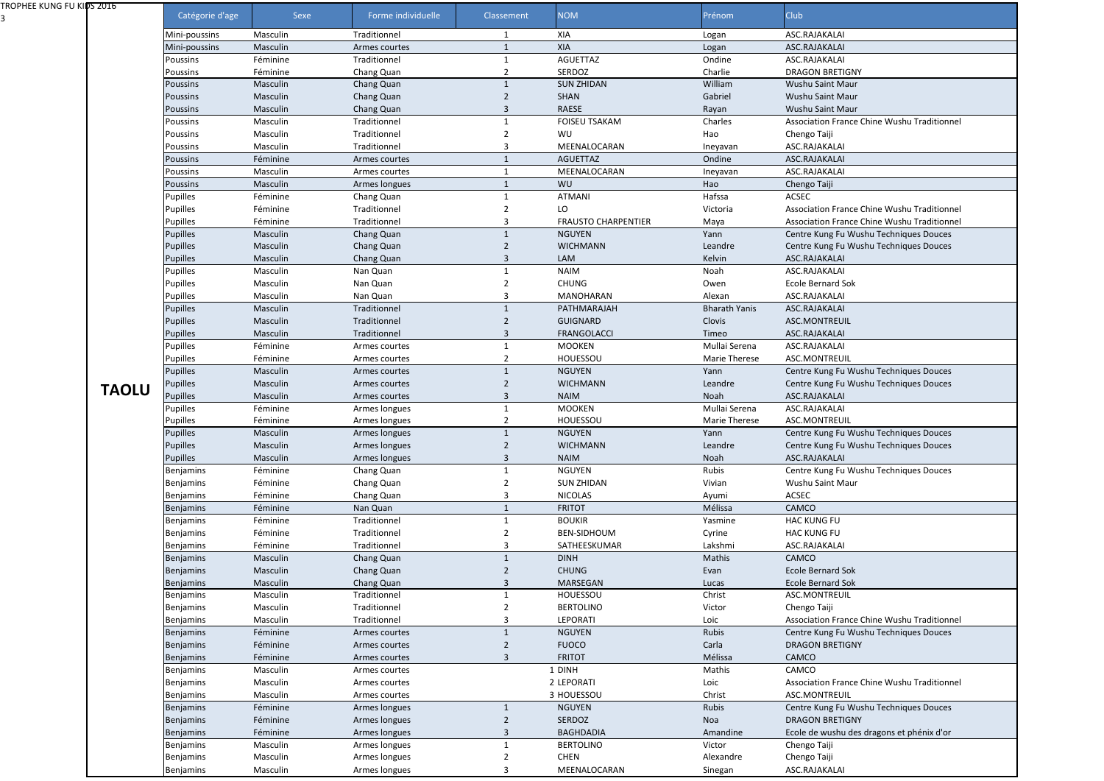| TROPHEE KUNG FU KIDS 2016 |                  |          |                    |                |                            |                      |                                            |
|---------------------------|------------------|----------|--------------------|----------------|----------------------------|----------------------|--------------------------------------------|
|                           | Catégorie d'age  | Sexe     | Forme individuelle | Classement     | <b>NOM</b>                 | Prénom               | Club                                       |
|                           | Mini-poussins    | Masculin | Traditionnel       |                | XIA                        | Logan                | ASC.RAJAKALAI                              |
|                           | Mini-poussins    | Masculin | Armes courtes      |                | XIA                        | Logan                | ASC.RAJAKALAI                              |
|                           | Poussins         | Féminine | Traditionnel       |                | <b>AGUETTAZ</b>            | Ondine               | ASC.RAJAKALAI                              |
|                           | Poussins         | Féminine | Chang Quan         |                | SERDOZ                     | Charlie              | <b>DRAGON BRETIGNY</b>                     |
|                           | <b>Poussins</b>  | Masculin | Chang Quan         |                | <b>SUN ZHIDAN</b>          | William              | Wushu Saint Maur                           |
|                           | <b>Poussins</b>  | Masculin | Chang Quan         | 2              | <b>SHAN</b>                | Gabriel              | Wushu Saint Maur                           |
|                           | <b>Poussins</b>  | Masculin | Chang Quan         |                | <b>RAESE</b>               | Rayan                | Wushu Saint Maur                           |
|                           | Poussins         | Masculin | Traditionnel       |                | <b>FOISEU TSAKAM</b>       | Charles              | Association France Chine Wushu Traditionne |
|                           | Poussins         | Masculin | Traditionnel       |                | WU                         | Hao                  | Chengo Taiji                               |
|                           | <b>Poussins</b>  | Masculin | Traditionnel       |                | MEENALOCARAN               | Ineyavan             | ASC.RAJAKALAI                              |
|                           | <b>Poussins</b>  | Féminine | Armes courtes      |                | <b>AGUETTAZ</b>            | Ondine               | ASC.RAJAKALAI                              |
|                           | <b>Poussins</b>  | Masculin | Armes courtes      |                | MEENALOCARAN               | Ineyavan             | ASC.RAJAKALAI                              |
|                           | <b>Poussins</b>  | Masculin | Armes longues      |                | WU                         | Hao                  | Chengo Taiji                               |
|                           | Pupilles         | Féminine | Chang Quan         |                | ATMANI                     | Hafssa               | ACSEC                                      |
|                           | Pupilles         | Féminine | Traditionnel       |                | LO                         | Victoria             | Association France Chine Wushu Traditionne |
|                           | Pupilles         | Féminine | Traditionnel       |                | <b>FRAUSTO CHARPENTIER</b> | Maya                 | Association France Chine Wushu Traditionne |
|                           | Pupilles         | Masculin | Chang Quan         |                | <b>NGUYEN</b>              | Yann                 | Centre Kung Fu Wushu Techniques Douces     |
|                           | Pupilles         | Masculin | Chang Quan         | 2              | <b>WICHMANN</b>            | Leandre              | Centre Kung Fu Wushu Techniques Douces     |
|                           | <b>Pupilles</b>  | Masculin | Chang Quan         | 3              | LAM                        | Kelvin               | ASC.RAJAKALAI                              |
|                           | Pupilles         | Masculin | Nan Quan           |                | <b>NAIM</b>                | Noah                 | ASC.RAJAKALAI                              |
|                           | Pupilles         | Masculin | Nan Quan           |                | <b>CHUNG</b>               | Owen                 | <b>Ecole Bernard Sok</b>                   |
|                           | Pupilles         | Masculin | Nan Quan           |                | <b>MANOHARAN</b>           | Alexan               | ASC.RAJAKALAI                              |
|                           | Pupilles         | Masculin | Traditionnel       |                | PATHMARAJAH                | <b>Bharath Yanis</b> | ASC.RAJAKALAI                              |
|                           | Pupilles         | Masculin | Traditionnel       |                | <b>GUIGNARD</b>            | Clovis               | ASC.MONTREUIL                              |
|                           |                  |          |                    |                |                            |                      |                                            |
|                           | Pupilles         | Masculin | Traditionnel       |                | <b>FRANGOLACCI</b>         | Timeo                | ASC.RAJAKALAI                              |
|                           | Pupilles         | Féminine | Armes courtes      |                | <b>MOOKEN</b>              | Mullai Serena        | ASC.RAJAKALAI                              |
|                           | Pupilles         | Féminine | Armes courtes      |                | <b>HOUESSOU</b>            | Marie Therese        | ASC.MONTREUIL                              |
|                           | Pupilles         | Masculin | Armes courtes      |                | <b>NGUYEN</b>              | Yann                 | Centre Kung Fu Wushu Techniques Douces     |
| <b>TAOLU</b>              | Pupilles         | Masculin | Armes courtes      | $\mathfrak z$  | <b>WICHMANN</b>            | Leandre              | Centre Kung Fu Wushu Techniques Douces     |
|                           | Pupilles         | Masculin | Armes courtes      |                | <b>NAIM</b>                | Noah                 | ASC.RAJAKALAI                              |
|                           | Pupilles         | Féminine | Armes longues      | 1              | <b>MOOKEN</b>              | Mullai Serena        | ASC.RAJAKALAI                              |
|                           | Pupilles         | Féminine | Armes longues      | $\overline{2}$ | HOUESSOU                   | Marie Therese        | ASC.MONTREUIL                              |
|                           | <b>Pupilles</b>  | Masculin | Armes longues      |                | <b>NGUYEN</b>              | Yann                 | Centre Kung Fu Wushu Techniques Douces     |
|                           | Pupilles         | Masculin | Armes longues      |                | <b>WICHMANN</b>            | Leandre              | Centre Kung Fu Wushu Techniques Douces     |
|                           | Pupilles         | Masculin | Armes longues      |                | <b>NAIM</b>                | Noah                 | ASC.RAJAKALAI                              |
|                           | Benjamins        | Féminine | Chang Quan         |                | <b>NGUYEN</b>              | Rubis                | Centre Kung Fu Wushu Techniques Douces     |
|                           | Benjamins        | Féminine | Chang Quan         |                | <b>SUN ZHIDAN</b>          | Vivian               | Wushu Saint Maur                           |
|                           | Benjamins        | Féminine | Chang Quan         |                | <b>NICOLAS</b>             | Ayumi                | ACSEC                                      |
|                           | <b>Benjamins</b> | Féminine | Nan Quan           |                | <b>FRITOT</b>              | Mélissa              | CAMCO                                      |
|                           | Benjamins        | Féminine | Traditionnel       |                | <b>BOUKIR</b>              | Yasmine              | <b>HAC KUNG FU</b>                         |
|                           | Benjamins        | Féminine | Traditionnel       |                | <b>BEN-SIDHOUM</b>         | Cyrine               | <b>HAC KUNG FU</b>                         |
|                           | Benjamins        | Féminine | Traditionnel       |                | SATHEESKUMAR               | Lakshmi              | ASC.RAJAKALAI                              |
|                           | <b>Benjamins</b> | Masculin | Chang Quan         |                | <b>DINH</b>                | Mathis               | CAMCO                                      |
|                           | <b>Benjamins</b> | Masculin | Chang Quan         |                | <b>CHUNG</b>               | Evan                 | <b>Ecole Bernard Sok</b>                   |
|                           | <b>Benjamins</b> | Masculin | Chang Quan         |                | MARSEGAN                   | Lucas                | <b>Ecole Bernard Sok</b>                   |
|                           | Benjamins        | Masculin | Traditionnel       |                | HOUESSOU                   | Christ               | ASC.MONTREUIL                              |
|                           | Benjamins        | Masculin | Traditionnel       |                | <b>BERTOLINO</b>           | Victor               | Chengo Taiji                               |
|                           | Benjamins        | Masculin | Traditionnel       |                | LEPORATI                   | Loic                 | Association France Chine Wushu Traditionne |
|                           | <b>Benjamins</b> | Féminine | Armes courtes      |                | <b>NGUYEN</b>              | Rubis                | Centre Kung Fu Wushu Techniques Douces     |
|                           | <b>Benjamins</b> | Féminine | Armes courtes      |                | <b>FUOCO</b>               | Carla                | <b>DRAGON BRETIGNY</b>                     |
|                           | <b>Benjamins</b> | Féminine | Armes courtes      |                | <b>FRITOT</b>              | Mélissa              | CAMCO                                      |
|                           | Benjamins        | Masculin | Armes courtes      |                | 1 DINH                     | Mathis               | CAMCO                                      |
|                           | Benjamins        | Masculin | Armes courtes      |                | 2 LEPORATI                 | Loic                 | Association France Chine Wushu Traditionne |
|                           | Benjamins        | Masculin | Armes courtes      |                | 3 HOUESSOU                 | Christ               | ASC.MONTREUIL                              |
|                           | <b>Benjamins</b> | Féminine | Armes longues      | 1              | <b>NGUYEN</b>              | Rubis                | Centre Kung Fu Wushu Techniques Douces     |
|                           | <b>Benjamins</b> | Féminine | Armes longues      | 2              | SERDOZ                     | Noa                  | <b>DRAGON BRETIGNY</b>                     |
|                           | <b>Benjamins</b> | Féminine | Armes longues      | 3              | <b>BAGHDADIA</b>           | Amandine             | Ecole de wushu des dragons et phénix d'or  |
|                           | Benjamins        | Masculin | Armes longues      |                | <b>BERTOLINO</b>           | Victor               | Chengo Taiji                               |
|                           | Benjamins        | Masculin | Armes longues      |                | <b>CHEN</b>                | Alexandre            | Chengo Taiji                               |
|                           |                  |          | Armes longues      |                | MEENALOCARAN               |                      | ASC.RAJAKALAI                              |
|                           | Benjamins        | Masculin |                    |                |                            | Sinegan              |                                            |

| .AI                                    |
|----------------------------------------|
| $\mathsf{A}$ l                         |
| .AI                                    |
| <b>ETIGNY</b>                          |
| Maur                                   |
| Maur                                   |
| Maur                                   |
| France Chine Wushu Traditionnel        |
|                                        |
| .AI                                    |
| $\overline{A}$                         |
| <b>Al</b>                              |
|                                        |
|                                        |
| <b>France Chine Wushu Traditionnel</b> |
| France Chine Wushu Traditionnel        |
| Fu Wushu Techniques Douces             |
| Fu Wushu Techniques Douces             |
| .AI                                    |
| .AI                                    |
| d Sok                                  |
| .AI                                    |
| A <sub>l</sub>                         |
| EUIL                                   |
| A <sub>l</sub>                         |
| $\overline{A}$                         |
| EUIL                                   |
| Fu Wushu Techniques Douces             |
| Fu Wushu Techniques Douces             |
| .AI                                    |
| Al                                     |
| EUIL                                   |
| Fu Wushu Techniques Douces             |
| Fu Wushu Techniques Douces             |
| .AI                                    |
| Fu Wushu Techniques Douces             |
| Maur                                   |
|                                        |
| U                                      |
| U                                      |
| .AI                                    |
|                                        |
| d Sok                                  |
| d Sok                                  |
| EUIL                                   |
|                                        |
| France Chine Wushu Traditionnel        |
| Fu Wushu Techniques Douces             |
| <b>ETIGNY</b>                          |
|                                        |
|                                        |
| France Chine Wushu Traditionnel        |
| Euil                                   |
| Fu Wushu Techniques Douces             |
| <b>ETIGNY</b>                          |
| hu des dragons et phénix d'or          |
|                                        |
|                                        |
| Al                                     |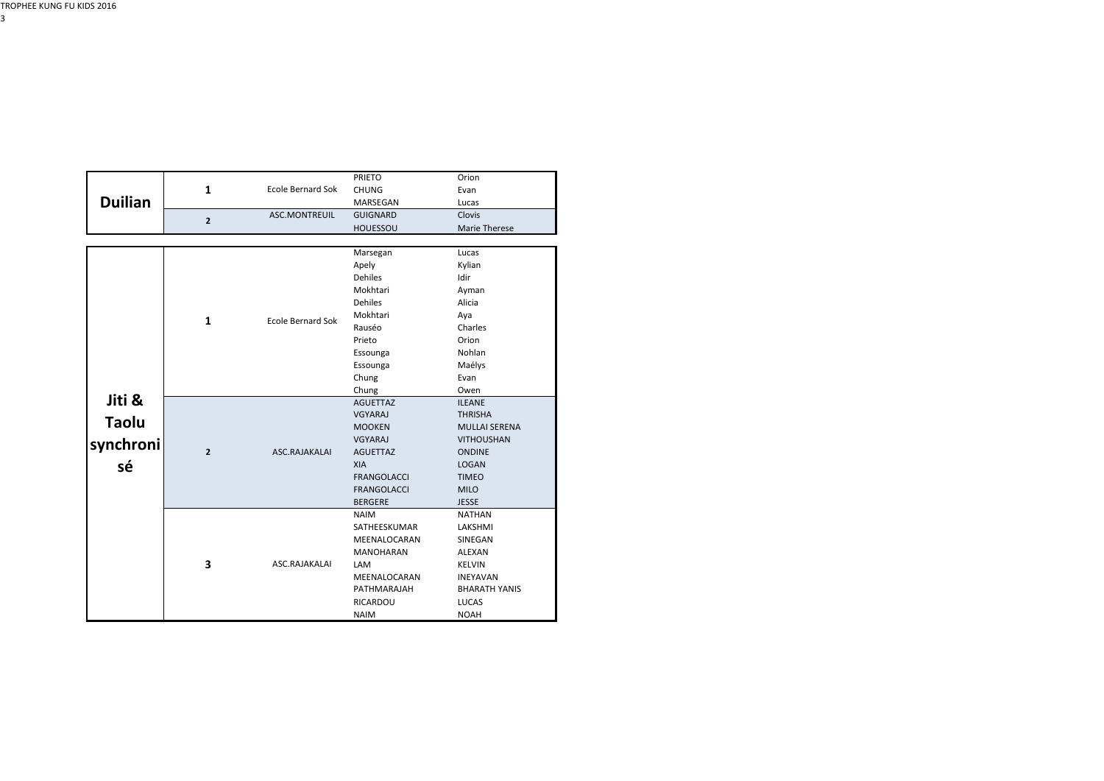|                |                |                          | <b>PRIETO</b>                                                                                                     | Orion                |
|----------------|----------------|--------------------------|-------------------------------------------------------------------------------------------------------------------|----------------------|
|                | $\mathbf{1}$   | <b>Ecole Bernard Sok</b> | <b>CHUNG</b><br>MARSEGAN<br><b>GUIGNARD</b><br><b>HOUESSOU</b><br>Marsegan<br>Apely<br><b>Dehiles</b><br>Mokhtari | Evan                 |
| <b>Duilian</b> |                |                          |                                                                                                                   | Lucas                |
|                | $\mathbf{2}$   | ASC.MONTREUIL            |                                                                                                                   | Clovis               |
|                |                |                          |                                                                                                                   | Marie Therese        |
|                |                |                          |                                                                                                                   |                      |
|                |                | <b>Ecole Bernard Sok</b> |                                                                                                                   | Lucas                |
|                |                |                          |                                                                                                                   | Kylian               |
|                |                |                          |                                                                                                                   | Idir                 |
|                |                |                          |                                                                                                                   | Ayman                |
|                |                |                          | <b>Dehiles</b>                                                                                                    | Alicia               |
|                | $\mathbf{1}$   |                          | Mokhtari                                                                                                          | Aya                  |
| Jiti &         |                |                          | Rauséo                                                                                                            | Charles              |
|                |                |                          | Prieto                                                                                                            | Orion                |
|                |                |                          | Essounga                                                                                                          | Nohlan               |
|                |                |                          | Essounga                                                                                                          | Maélys               |
|                |                |                          | Chung                                                                                                             | Evan                 |
|                |                |                          | Chung                                                                                                             | Owen                 |
|                |                |                          | <b>AGUETTAZ</b>                                                                                                   | <b>ILEANE</b>        |
| <b>Taolu</b>   |                |                          | VGYARAJ                                                                                                           | <b>THRISHA</b>       |
|                |                |                          | <b>MOOKEN</b>                                                                                                     | <b>MULLAI SERENA</b> |
| synchroni      |                |                          | VGYARAJ                                                                                                           | <b>VITHOUSHAN</b>    |
|                | $\overline{2}$ | ASC.RAJAKALAI            | <b>AGUETTAZ</b>                                                                                                   | <b>ONDINE</b>        |
| sé             |                |                          | <b>XIA</b>                                                                                                        | <b>LOGAN</b>         |
|                |                |                          | <b>FRANGOLACCI</b>                                                                                                | <b>TIMEO</b>         |
|                |                |                          | <b>FRANGOLACCI</b>                                                                                                | <b>MILO</b>          |
|                |                |                          | <b>BERGERE</b>                                                                                                    | <b>JESSE</b>         |
|                |                |                          | <b>NAIM</b>                                                                                                       | <b>NATHAN</b>        |
|                |                |                          | SATHEESKUMAR                                                                                                      | LAKSHMI              |
|                |                | ASC.RAJAKALAI            | MEENALOCARAN                                                                                                      | SINEGAN              |
|                |                |                          | <b>MANOHARAN</b>                                                                                                  | ALEXAN               |
|                | 3              |                          | <b>LAM</b>                                                                                                        | <b>KELVIN</b>        |
|                |                |                          | MEENALOCARAN                                                                                                      | <b>INEYAVAN</b>      |
|                |                |                          | PATHMARAJAH                                                                                                       | <b>BHARATH YANIS</b> |
|                |                |                          | RICARDOU                                                                                                          | <b>LUCAS</b>         |
|                |                |                          | <b>NAIM</b>                                                                                                       | <b>NOAH</b>          |